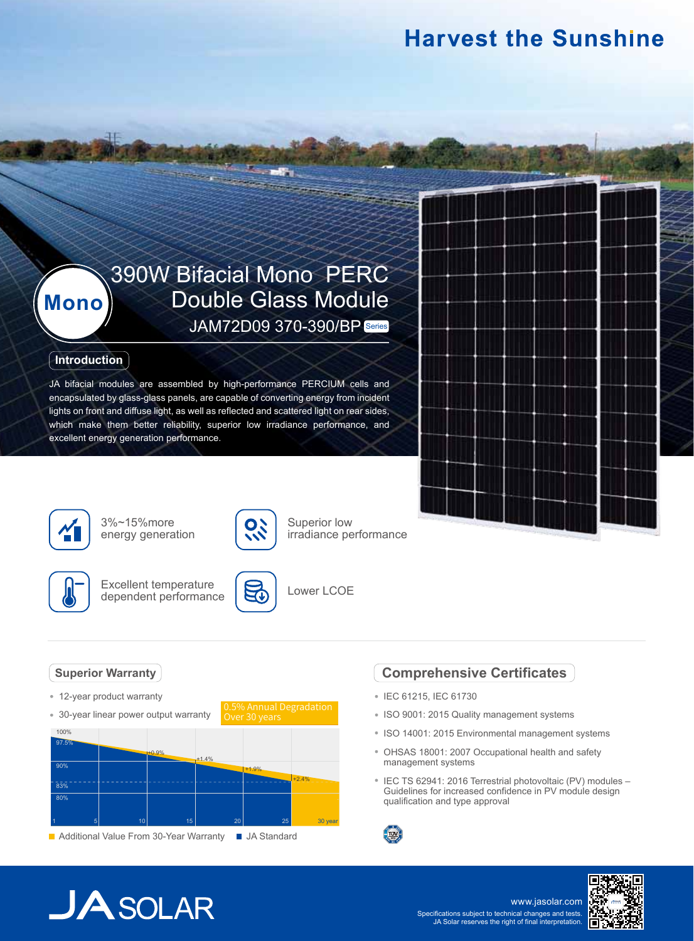### **Harvest the Sunshine**

### 390W Bifacial Mono PERC Double Glass Module JAM72D09 370-390/BP Series

### **Introduction**

**Mono**

JA bifacial modules are assembled by high-performance PERCIUM cells and encapsulated by glass-glass panels, are capable of converting energy from incident lights on front and diffuse light, as well as reflected and scattered light on rear sides, which make them better reliability, superior low irradiance performance, and excellent energy generation performance.



3%~15%more energy generation



Excellent temperature dependent performance



10

Over 30 years

Superior low

Lower LCOE

### **Superior Warranty**

- 12-year product warranty
- 30-year linear power output warranty



### **Comprehensive Certificates**

- IEC 61215, IEC 61730
- ISO 9001: 2015 Quality management systems
- ISO 14001: 2015 Environmental management systems
- OHSAS 18001: 2007 Occupational health and safety management systems
- IEC TS 62941: 2016 Terrestrial photovoltaic (PV) modules -Guidelines for increased confidence in PV module design qualification and type approval



# $JASOLAR$

www.jasolar.com Specifications subject to technical changes and tests. JA Solar reserves the right of final interpretation.